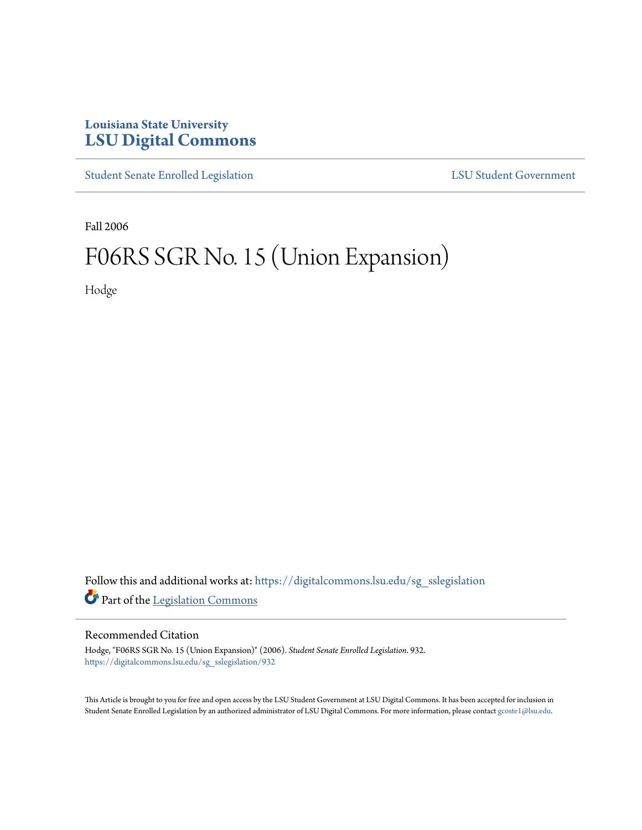## **Louisiana State University [LSU Digital Commons](https://digitalcommons.lsu.edu?utm_source=digitalcommons.lsu.edu%2Fsg_sslegislation%2F932&utm_medium=PDF&utm_campaign=PDFCoverPages)**

[Student Senate Enrolled Legislation](https://digitalcommons.lsu.edu/sg_sslegislation?utm_source=digitalcommons.lsu.edu%2Fsg_sslegislation%2F932&utm_medium=PDF&utm_campaign=PDFCoverPages) [LSU Student Government](https://digitalcommons.lsu.edu/sg?utm_source=digitalcommons.lsu.edu%2Fsg_sslegislation%2F932&utm_medium=PDF&utm_campaign=PDFCoverPages)

Fall 2006

## F06RS SGR No. 15 (Union Expansion)

Hodge

Follow this and additional works at: [https://digitalcommons.lsu.edu/sg\\_sslegislation](https://digitalcommons.lsu.edu/sg_sslegislation?utm_source=digitalcommons.lsu.edu%2Fsg_sslegislation%2F932&utm_medium=PDF&utm_campaign=PDFCoverPages) Part of the [Legislation Commons](http://network.bepress.com/hgg/discipline/859?utm_source=digitalcommons.lsu.edu%2Fsg_sslegislation%2F932&utm_medium=PDF&utm_campaign=PDFCoverPages)

## Recommended Citation

Hodge, "F06RS SGR No. 15 (Union Expansion)" (2006). *Student Senate Enrolled Legislation*. 932. [https://digitalcommons.lsu.edu/sg\\_sslegislation/932](https://digitalcommons.lsu.edu/sg_sslegislation/932?utm_source=digitalcommons.lsu.edu%2Fsg_sslegislation%2F932&utm_medium=PDF&utm_campaign=PDFCoverPages)

This Article is brought to you for free and open access by the LSU Student Government at LSU Digital Commons. It has been accepted for inclusion in Student Senate Enrolled Legislation by an authorized administrator of LSU Digital Commons. For more information, please contact [gcoste1@lsu.edu.](mailto:gcoste1@lsu.edu)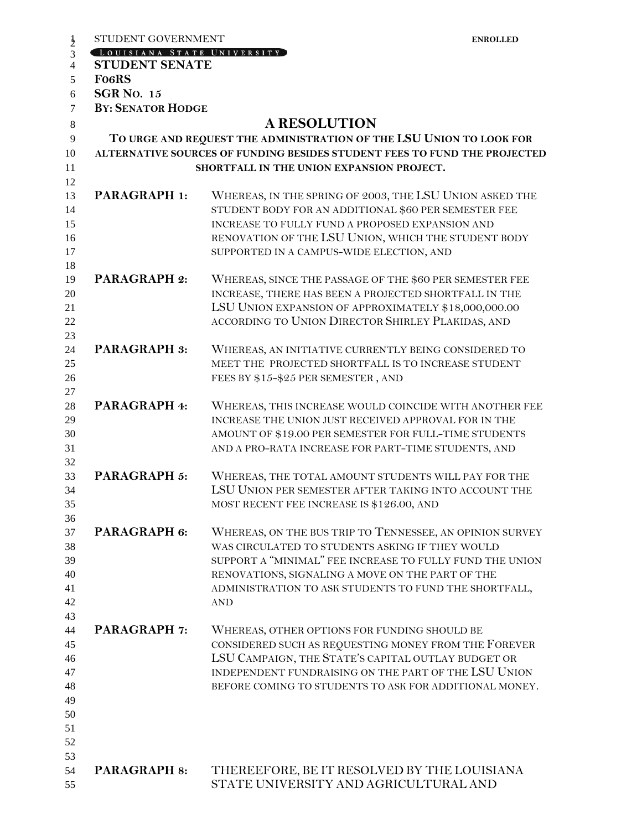| STUDENT GOVERNMENT           | <b>ENROLLED</b>                                                           |
|------------------------------|---------------------------------------------------------------------------|
| [LOUISIANA STATE UNIVERSITY] |                                                                           |
| <b>STUDENT SENATE</b>        |                                                                           |
| <b>FO6RS</b>                 |                                                                           |
| <b>SGR No. 15</b>            |                                                                           |
| <b>BY: SENATOR HODGE</b>     |                                                                           |
|                              | <b>A RESOLUTION</b>                                                       |
|                              | TO URGE AND REQUEST THE ADMINISTRATION OF THE LSU UNION TO LOOK FOR       |
|                              | ALTERNATIVE SOURCES OF FUNDING BESIDES STUDENT FEES TO FUND THE PROJECTED |
|                              | SHORTFALL IN THE UNION EXPANSION PROJECT.                                 |
|                              |                                                                           |
| <b>PARAGRAPH 1:</b>          | WHEREAS, IN THE SPRING OF 2003, THE LSU UNION ASKED THE                   |
|                              | STUDENT BODY FOR AN ADDITIONAL \$60 PER SEMESTER FEE                      |
|                              | INCREASE TO FULLY FUND A PROPOSED EXPANSION AND                           |
|                              | RENOVATION OF THE LSU UNION, WHICH THE STUDENT BODY                       |
|                              | SUPPORTED IN A CAMPUS-WIDE ELECTION, AND                                  |
|                              |                                                                           |
| <b>PARAGRAPH 2:</b>          | WHEREAS, SINCE THE PASSAGE OF THE \$60 PER SEMESTER FEE                   |
|                              | INCREASE, THERE HAS BEEN A PROJECTED SHORTFALL IN THE                     |
|                              | LSU UNION EXPANSION OF APPROXIMATELY \$18,000,000.00                      |
|                              | ACCORDING TO UNION DIRECTOR SHIRLEY PLAKIDAS, AND                         |
|                              |                                                                           |
| <b>PARAGRAPH 3:</b>          | WHEREAS, AN INITIATIVE CURRENTLY BEING CONSIDERED TO                      |
|                              | MEET THE PROJECTED SHORTFALL IS TO INCREASE STUDENT                       |
|                              | FEES BY \$15-\$25 PER SEMESTER, AND                                       |
|                              |                                                                           |
| PARAGRAPH 4:                 | WHEREAS, THIS INCREASE WOULD COINCIDE WITH ANOTHER FEE                    |
|                              | INCREASE THE UNION JUST RECEIVED APPROVAL FOR IN THE                      |
|                              | AMOUNT OF \$19.00 PER SEMESTER FOR FULL-TIME STUDENTS                     |
|                              | AND A PRO-RATA INCREASE FOR PART-TIME STUDENTS, AND                       |
|                              |                                                                           |
| PARAGRAPH 5:                 | WHEREAS, THE TOTAL AMOUNT STUDENTS WILL PAY FOR THE                       |
|                              | LSU UNION PER SEMESTER AFTER TAKING INTO ACCOUNT THE                      |
|                              | MOST RECENT FEE INCREASE IS \$126.00, AND                                 |
|                              |                                                                           |
| PARAGRAPH 6:                 | WHEREAS, ON THE BUS TRIP TO TENNESSEE, AN OPINION SURVEY                  |
|                              | WAS CIRCULATED TO STUDENTS ASKING IF THEY WOULD                           |
|                              | SUPPORT A "MINIMAL" FEE INCREASE TO FULLY FUND THE UNION                  |
|                              | RENOVATIONS, SIGNALING A MOVE ON THE PART OF THE                          |
|                              | ADMINISTRATION TO ASK STUDENTS TO FUND THE SHORTFALL,                     |
|                              | <b>AND</b>                                                                |
|                              |                                                                           |
| <b>PARAGRAPH 7:</b>          | WHEREAS, OTHER OPTIONS FOR FUNDING SHOULD BE                              |
|                              | CONSIDERED SUCH AS REQUESTING MONEY FROM THE FOREVER                      |
|                              | LSU CAMPAIGN, THE STATE'S CAPITAL OUTLAY BUDGET OR                        |
|                              | INDEPENDENT FUNDRAISING ON THE PART OF THE LSU UNION                      |
|                              | BEFORE COMING TO STUDENTS TO ASK FOR ADDITIONAL MONEY.                    |
|                              |                                                                           |
|                              |                                                                           |
|                              |                                                                           |
|                              |                                                                           |
|                              |                                                                           |
| <b>PARAGRAPH 8:</b>          | THEREEFORE, BE IT RESOLVED BY THE LOUISIANA                               |
|                              | STATE UNIVERSITY AND AGRICULTURAL AND                                     |
|                              |                                                                           |